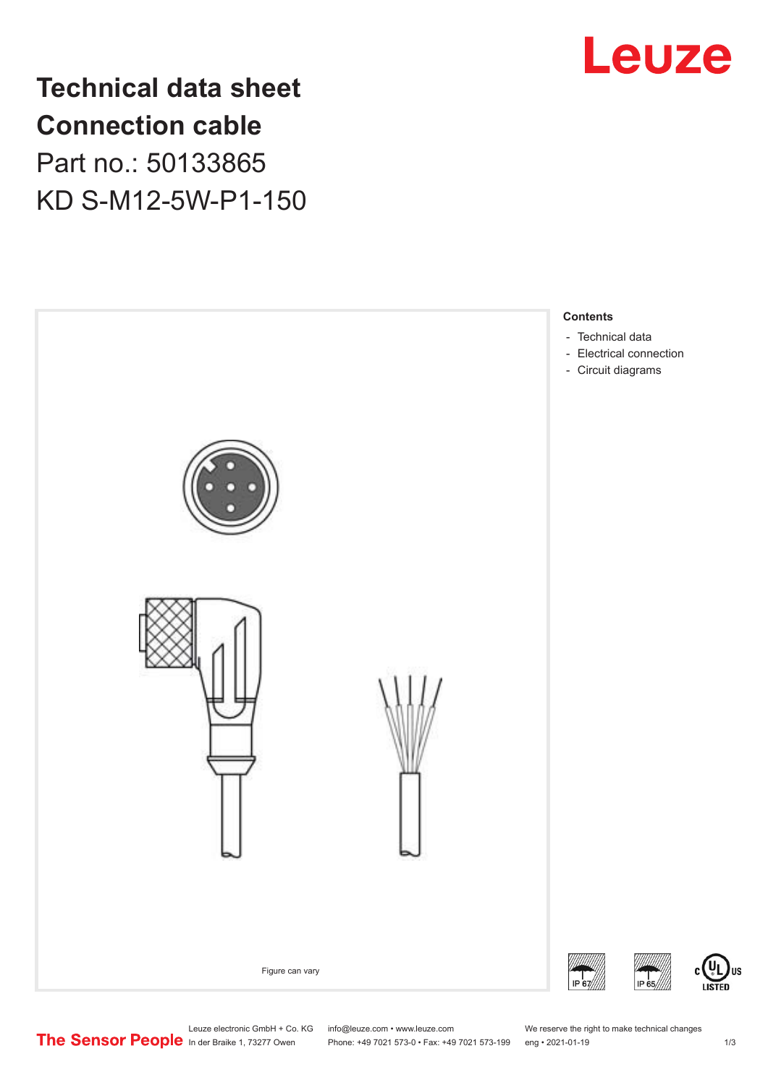

**Technical data sheet Connection cable** Part no.: 50133865 KD S-M12-5W-P1-150



Phone: +49 7021 573-0 • Fax: +49 7021 573-199 eng • 2021-01-19

US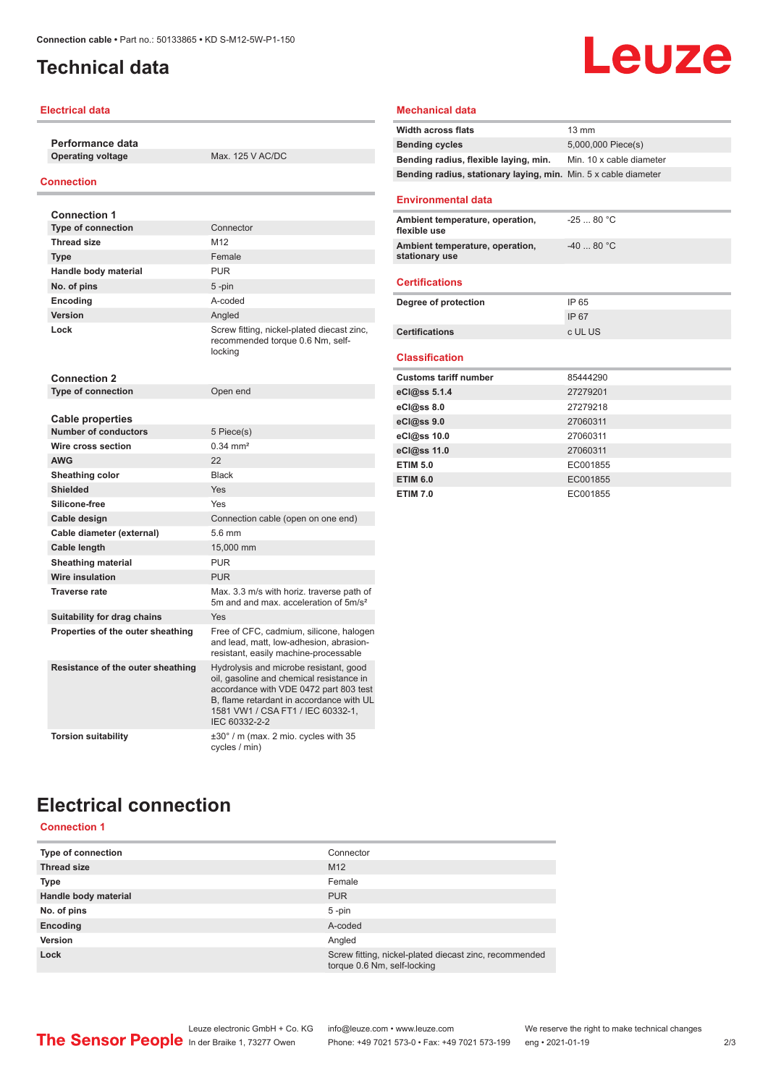# <span id="page-1-0"></span>**Technical data**

### **Electrical data**

**Performance data Operating voltage** Max. 125 V AC/DC

### **Connection**

| <b>Connection 1</b>               |                                                                                                                                                                                                                                |
|-----------------------------------|--------------------------------------------------------------------------------------------------------------------------------------------------------------------------------------------------------------------------------|
| <b>Type of connection</b>         | Connector                                                                                                                                                                                                                      |
| <b>Thread size</b>                | M12                                                                                                                                                                                                                            |
| <b>Type</b>                       | Female                                                                                                                                                                                                                         |
| Handle body material              | <b>PUR</b>                                                                                                                                                                                                                     |
| No. of pins                       | $5 - pin$                                                                                                                                                                                                                      |
| Encoding                          | A-coded                                                                                                                                                                                                                        |
| Version                           | Angled                                                                                                                                                                                                                         |
| Lock                              | Screw fitting, nickel-plated diecast zinc,<br>recommended torque 0.6 Nm, self-<br>locking                                                                                                                                      |
| <b>Connection 2</b>               |                                                                                                                                                                                                                                |
| <b>Type of connection</b>         | Open end                                                                                                                                                                                                                       |
|                                   |                                                                                                                                                                                                                                |
| <b>Cable properties</b>           |                                                                                                                                                                                                                                |
| <b>Number of conductors</b>       | 5 Piece(s)<br>$0.34 \, \text{mm}^2$                                                                                                                                                                                            |
| Wire cross section                |                                                                                                                                                                                                                                |
| <b>AWG</b>                        | 22                                                                                                                                                                                                                             |
| Sheathing color                   | <b>Black</b>                                                                                                                                                                                                                   |
| <b>Shielded</b>                   | Yes                                                                                                                                                                                                                            |
| Silicone-free                     | Yes                                                                                                                                                                                                                            |
| Cable design                      | Connection cable (open on one end)                                                                                                                                                                                             |
| Cable diameter (external)         | 5.6 mm                                                                                                                                                                                                                         |
| Cable length                      | 15,000 mm                                                                                                                                                                                                                      |
| <b>Sheathing material</b>         | <b>PUR</b>                                                                                                                                                                                                                     |
| Wire insulation                   | <b>PUR</b>                                                                                                                                                                                                                     |
| <b>Traverse rate</b>              | Max. 3.3 m/s with horiz. traverse path of<br>5m and and max acceleration of 5m/s <sup>2</sup>                                                                                                                                  |
| Suitability for drag chains       | Yes                                                                                                                                                                                                                            |
| Properties of the outer sheathing | Free of CFC, cadmium, silicone, halogen<br>and lead, matt, low-adhesion, abrasion-<br>resistant, easily machine-processable                                                                                                    |
| Resistance of the outer sheathing | Hydrolysis and microbe resistant, good<br>oil, gasoline and chemical resistance in<br>accordance with VDE 0472 part 803 test<br>B. flame retardant in accordance with UL<br>1581 VW1 / CSA FT1 / IEC 60332-1.<br>IEC 60332-2-2 |
| <b>Torsion suitability</b>        | $\pm 30^\circ$ / m (max. 2 mio. cycles with 35<br>cycles / min)                                                                                                                                                                |

### **Mechanical data**

| <b>Width across flats</b>                                       | $13 \text{ mm}$          |  |
|-----------------------------------------------------------------|--------------------------|--|
| <b>Bending cycles</b>                                           | 5,000,000 Piece(s)       |  |
| Bending radius, flexible laying, min.                           | Min. 10 x cable diameter |  |
| Bending radius, stationary laying, min. Min. 5 x cable diameter |                          |  |
|                                                                 |                          |  |
| <b>Environmental data</b>                                       |                          |  |
| Ambient temperature, operation,<br>flexible use                 | $-2580 °C$               |  |
| Ambient temperature, operation,<br>stationary use               | $-4080 °C$               |  |
| <b>Certifications</b>                                           |                          |  |
| Degree of protection                                            | IP 65                    |  |
|                                                                 | IP 67                    |  |
| <b>Certifications</b>                                           | c UL US                  |  |
| <b>Classification</b>                                           |                          |  |
|                                                                 |                          |  |
| <b>Customs tariff number</b>                                    | 85444290                 |  |
| eCl@ss 5.1.4                                                    | 27279201                 |  |
| eCl@ss 8.0                                                      | 27279218                 |  |
| eCl@ss 9.0                                                      | 27060311                 |  |
| eCl@ss 10.0                                                     | 27060311                 |  |
| eCl@ss 11.0                                                     | 27060311                 |  |
| <b>ETIM 5.0</b>                                                 | EC001855                 |  |
| <b>ETIM 6.0</b>                                                 | EC001855                 |  |
| <b>ETIM 7.0</b>                                                 | EC001855                 |  |

# **Electrical connection**

### **Connection 1**

| <b>Type of connection</b> | Connector                                                                             |
|---------------------------|---------------------------------------------------------------------------------------|
| <b>Thread size</b>        | M <sub>12</sub>                                                                       |
| <b>Type</b>               | Female                                                                                |
| Handle body material      | <b>PUR</b>                                                                            |
| No. of pins               | $5$ -pin                                                                              |
| Encoding                  | A-coded                                                                               |
| Version                   | Angled                                                                                |
| Lock                      | Screw fitting, nickel-plated diecast zinc, recommended<br>torque 0.6 Nm, self-locking |

# **Leuze**